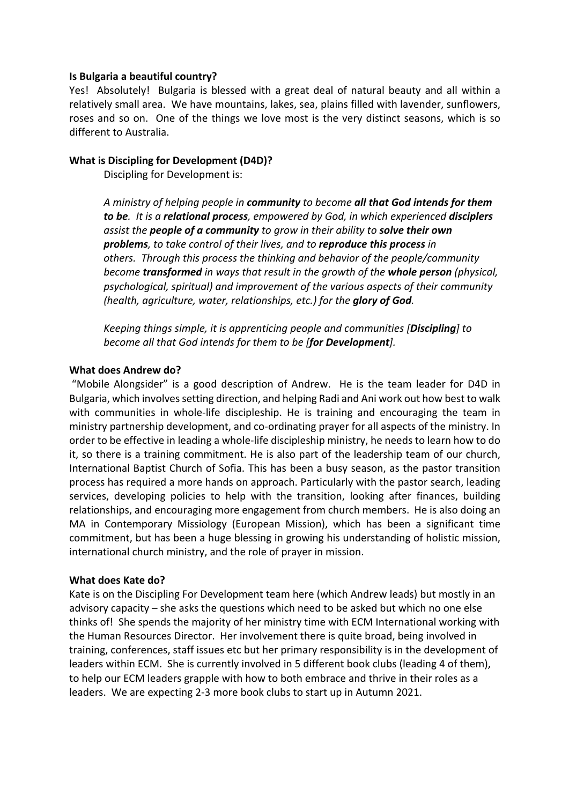## **Is Bulgaria a beautiful country?**

Yes! Absolutely! Bulgaria is blessed with a great deal of natural beauty and all within a relatively small area. We have mountains, lakes, sea, plains filled with lavender, sunflowers, roses and so on. One of the things we love most is the very distinct seasons, which is so different to Australia.

## **What is Discipling for Development (D4D)?**

Discipling for Development is:

*A ministry of helping people in community to become all that God intends for them to be. It is a relational process, empowered by God, in which experienced disciplers assist the people of a community to grow in their ability to solve their own problems, to take control of their lives, and to reproduce this process in others. Through this process the thinking and behavior of the people/community become transformed in ways that result in the growth of the whole person (physical, psychological, spiritual) and improvement of the various aspects of their community (health, agriculture, water, relationships, etc.) for the glory of God.*

*Keeping things simple, it is apprenticing people and communities [Discipling] to become all that God intends for them to be [for Development].*

### **What does Andrew do?**

"Mobile Alongsider" is a good description of Andrew. He is the team leader for D4D in Bulgaria, which involves setting direction, and helping Radi and Ani work out how best to walk with communities in whole-life discipleship. He is training and encouraging the team in ministry partnership development, and co-ordinating prayer for all aspects of the ministry. In order to be effective in leading a whole-life discipleship ministry, he needs to learn how to do it, so there is a training commitment. He is also part of the leadership team of our church, International Baptist Church of Sofia. This has been a busy season, as the pastor transition process has required a more hands on approach. Particularly with the pastor search, leading services, developing policies to help with the transition, looking after finances, building relationships, and encouraging more engagement from church members. He is also doing an MA in Contemporary Missiology (European Mission), which has been a significant time commitment, but has been a huge blessing in growing his understanding of holistic mission, international church ministry, and the role of prayer in mission.

### **What does Kate do?**

Kate is on the Discipling For Development team here (which Andrew leads) but mostly in an advisory capacity – she asks the questions which need to be asked but which no one else thinks of! She spends the majority of her ministry time with ECM International working with the Human Resources Director. Her involvement there is quite broad, being involved in training, conferences, staff issues etc but her primary responsibility is in the development of leaders within ECM. She is currently involved in 5 different book clubs (leading 4 of them), to help our ECM leaders grapple with how to both embrace and thrive in their roles as a leaders. We are expecting 2-3 more book clubs to start up in Autumn 2021.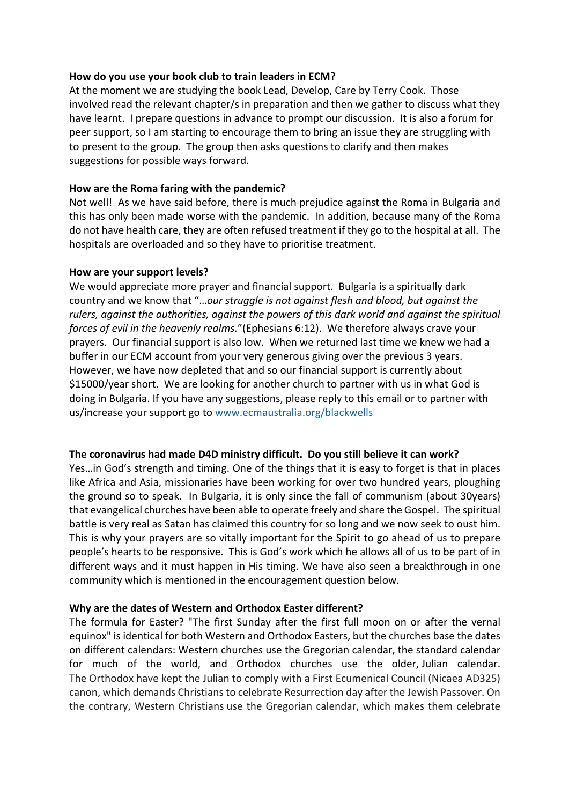# **How do you use your book club to train leaders in ECM?**

At the moment we are studying the book Lead, Develop, Care by Terry Cook. Those involved read the relevant chapter/s in preparation and then we gather to discuss what they have learnt. I prepare questions in advance to prompt our discussion. It is also a forum for peer support, so I am starting to encourage them to bring an issue they are struggling with to present to the group. The group then asks questions to clarify and then makes suggestions for possible ways forward.

## **How are the Roma faring with the pandemic?**

Not well! As we have said before, there is much prejudice against the Roma in Bulgaria and this has only been made worse with the pandemic. In addition, because many of the Roma do not have health care, they are often refused treatment if they go to the hospital at all. The hospitals are overloaded and so they have to prioritise treatment.

## **How are your support levels?**

We would appreciate more prayer and financial support. Bulgaria is a spiritually dark country and we know that "…*our struggle is not against flesh and blood, but against the rulers, against the authorities, against the powers of this dark world and against the spiritual forces of evil in the heavenly realms.*"(Ephesians 6:12). We therefore always crave your prayers. Our financial support is also low. When we returned last time we knew we had a buffer in our ECM account from your very generous giving over the previous 3 years. However, we have now depleted that and so our financial support is currently about \$15000/year short. We are looking for another church to partner with us in what God is doing in Bulgaria. If you have any suggestions, please reply to this email or to partner with us/increase your support go to www.ecmaustralia.org/blackwells

# **The coronavirus had made D4D ministry difficult. Do you still believe it can work?**

Yes…in God's strength and timing. One of the things that it is easy to forget is that in places like Africa and Asia, missionaries have been working for over two hundred years, ploughing the ground so to speak. In Bulgaria, it is only since the fall of communism (about 30years) that evangelical churches have been able to operate freely and share the Gospel. The spiritual battle is very real as Satan has claimed this country for so long and we now seek to oust him. This is why your prayers are so vitally important for the Spirit to go ahead of us to prepare people's hearts to be responsive. This is God's work which he allows all of us to be part of in different ways and it must happen in His timing. We have also seen a breakthrough in one community which is mentioned in the encouragement question below.

# **Why are the dates of Western and Orthodox Easter different?**

The formula for Easter? "The first Sunday after the first full moon on or after the vernal equinox" is identical for both Western and Orthodox Easters, but the churches base the dates on different calendars: Western churches use the Gregorian calendar, the standard calendar for much of the world, and Orthodox churches use the older, Julian calendar. The Orthodox have kept the Julian to comply with a First Ecumenical Council (Nicaea AD325) canon, which demands Christians to celebrate Resurrection day after the Jewish Passover. On the contrary, Western Christians use the Gregorian calendar, which makes them celebrate